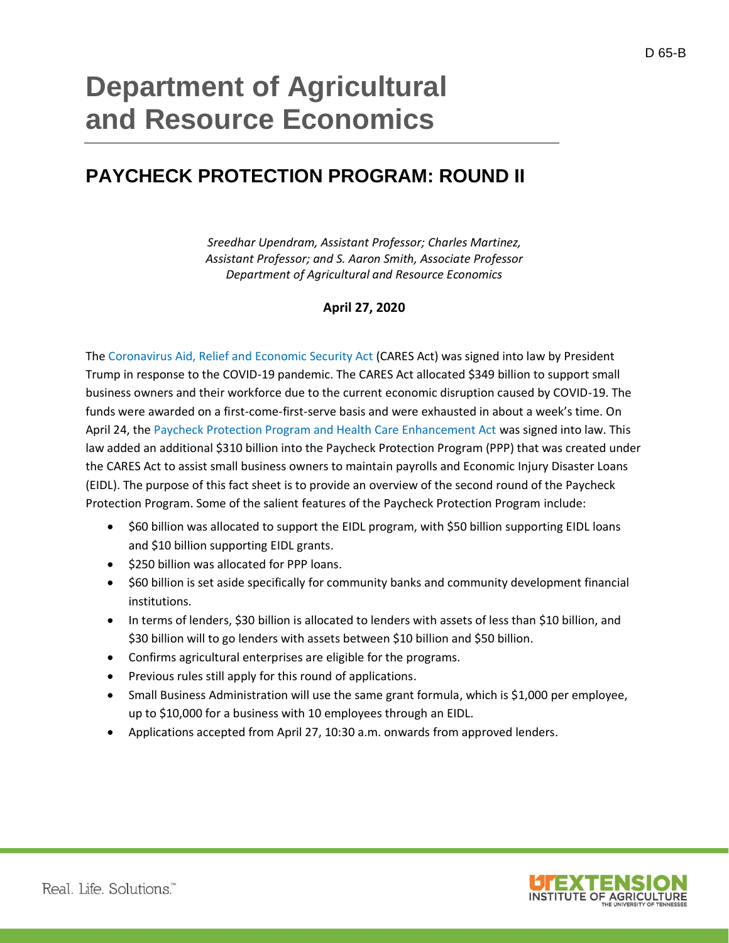# **Department of Agricultural and Resource Economics**

## **PAYCHECK PROTECTION PROGRAM: ROUND II**

*Sreedhar Upendram, Assistant Professor; Charles Martinez, Assistant Professor; and S. Aaron Smith, Associate Professor Department of Agricultural and Resource Economics*

### **April 27, 2020**

The [Coronavirus Aid, Relief and Economic Security Act](https://www.documentcloud.org/documents/6819239-FINAL-FINAL-CARES-ACT.html) (CARES Act) was signed into law by President Trump in response to the COVID-19 pandemic. The CARES Act allocated \$349 billion to support small business owners and their workforce due to the current economic disruption caused by COVID-19. The funds were awarded on a first-come-first-serve basis and were exhausted in about a week's time. On April 24, the [Paycheck Protection Program and Health Care Enhancement Act](https://www.congress.gov/bill/116th-congress/house-bill/266) was signed into law. This law added an additional \$310 billion into the Paycheck Protection Program (PPP) that was created under the CARES Act to assist small business owners to maintain payrolls and Economic Injury Disaster Loans (EIDL). The purpose of this fact sheet is to provide an overview of the second round of the Paycheck Protection Program. Some of the salient features of the Paycheck Protection Program include:

- \$60 billion was allocated to support the EIDL program, with \$50 billion supporting EIDL loans and \$10 billion supporting EIDL grants.
- \$250 billion was allocated for PPP loans.
- \$60 billion is set aside specifically for community banks and community development financial institutions.
- In terms of lenders, \$30 billion is allocated to lenders with assets of less than \$10 billion, and \$30 billion will to go lenders with assets between \$10 billion and \$50 billion.
- Confirms agricultural enterprises are eligible for the programs.
- Previous rules still apply for this round of applications.
- Small Business Administration will use the same grant formula, which is \$1,000 per employee, up to \$10,000 for a business with 10 employees through an EIDL.
- Applications accepted from April 27, 10:30 a.m. onwards from approved lenders.